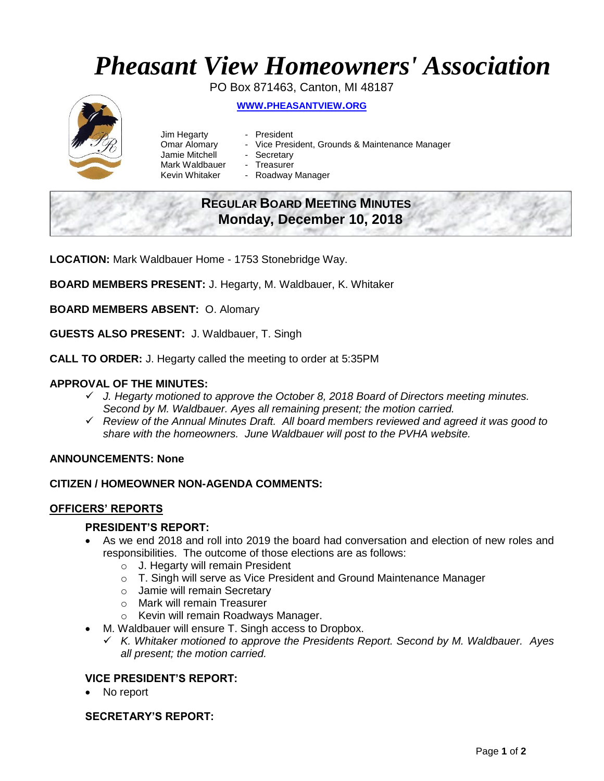# *Pheasant View Homeowners' Association*

PO Box 871463, Canton, MI 48187 **WWW.[PHEASANTVIEW](http://www.pheasantview.org/).ORG**

- Jim Hegarty President
- 
- Omar Alomary Vice President, Grounds & Maintenance Manager
- Jamie Mitchell Secretary
	-
- Mark Waldbauer Treasurer<br>Kevin Whitaker Roadway - Roadway Manager

## **REGULAR BOARD MEETING MINUTES Monday, December 10, 2018**

**LOCATION:** Mark Waldbauer Home - 1753 Stonebridge Way.

**BOARD MEMBERS PRESENT:** J. Hegarty, M. Waldbauer, K. Whitaker

**BOARD MEMBERS ABSENT:** O. Alomary

**GUESTS ALSO PRESENT:** J. Waldbauer, T. Singh

**CALL TO ORDER:** J. Hegarty called the meeting to order at 5:35PM

#### **APPROVAL OF THE MINUTES:**

- ✓ *J. Hegarty motioned to approve the October 8, 2018 Board of Directors meeting minutes. Second by M. Waldbauer. Ayes all remaining present; the motion carried.*
- ✓ *Review of the Annual Minutes Draft. All board members reviewed and agreed it was good to share with the homeowners. June Waldbauer will post to the PVHA website.*

#### **ANNOUNCEMENTS: None**

#### **CITIZEN / HOMEOWNER NON-AGENDA COMMENTS:**

#### **OFFICERS' REPORTS**

#### **PRESIDENT'S REPORT:**

- As we end 2018 and roll into 2019 the board had conversation and election of new roles and responsibilities. The outcome of those elections are as follows:
	- o J. Hegarty will remain President
	- o T. Singh will serve as Vice President and Ground Maintenance Manager
	- o Jamie will remain Secretary
	- o Mark will remain Treasurer
	- o Kevin will remain Roadways Manager.
- M. Waldbauer will ensure T. Singh access to Dropbox.
	- ✓ *K. Whitaker motioned to approve the Presidents Report. Second by M. Waldbauer. Ayes all present; the motion carried.*

#### **VICE PRESIDENT'S REPORT:**

No report

#### **SECRETARY'S REPORT:**